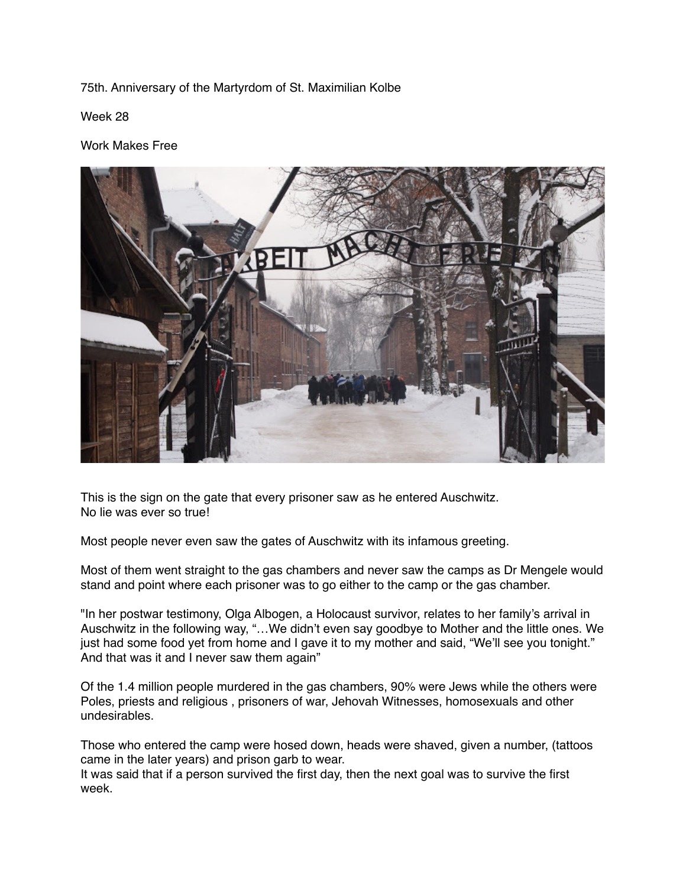## 75th. Anniversary of the Martyrdom of St. Maximilian Kolbe

Week 28

## Work Makes Free



This is the sign on the gate that every prisoner saw as he entered Auschwitz. No lie was ever so true!

Most people never even saw the gates of Auschwitz with its infamous greeting.

Most of them went straight to the gas chambers and never saw the camps as Dr Mengele would stand and point where each prisoner was to go either to the camp or the gas chamber.

"In her postwar testimony, Olga Albogen, a Holocaust survivor, relates to her family's arrival in Auschwitz in the following way, "…We didn't even say goodbye to Mother and the little ones. We just had some food yet from home and I gave it to my mother and said, "We'll see you tonight." And that was it and I never saw them again"

Of the 1.4 million people murdered in the gas chambers, 90% were Jews while the others were Poles, priests and religious , prisoners of war, Jehovah Witnesses, homosexuals and other undesirables.

Those who entered the camp were hosed down, heads were shaved, given a number, (tattoos came in the later years) and prison garb to wear.

It was said that if a person survived the first day, then the next goal was to survive the first week.